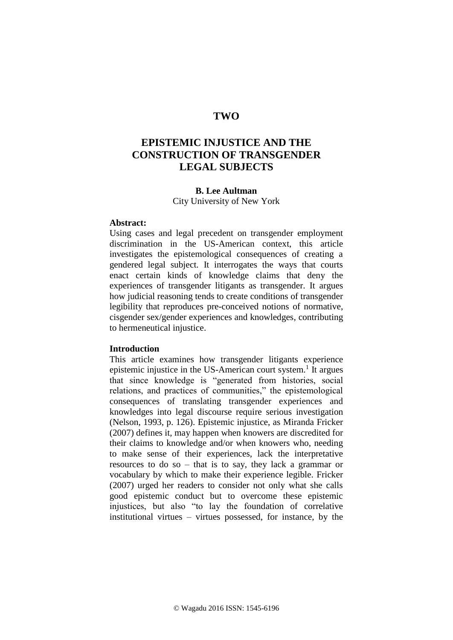# **TWO**

# **EPISTEMIC INJUSTICE AND THE CONSTRUCTION OF TRANSGENDER LEGAL SUBJECTS**

## **B. Lee Aultman**

City University of New York

#### **Abstract:**

Using cases and legal precedent on transgender employment discrimination in the US-American context, this article investigates the epistemological consequences of creating a gendered legal subject. It interrogates the ways that courts enact certain kinds of knowledge claims that deny the experiences of transgender litigants as transgender. It argues how judicial reasoning tends to create conditions of transgender legibility that reproduces pre-conceived notions of normative, cisgender sex/gender experiences and knowledges, contributing to hermeneutical injustice.

## **Introduction**

This article examines how transgender litigants experience epistemic injustice in the US-American court system.<sup>1</sup> It argues that since knowledge is "generated from histories, social relations, and practices of communities," the epistemological consequences of translating transgender experiences and knowledges into legal discourse require serious investigation (Nelson, 1993, p. 126). Epistemic injustice, as Miranda Fricker (2007) defines it, may happen when knowers are discredited for their claims to knowledge and/or when knowers who, needing to make sense of their experiences, lack the interpretative resources to do so – that is to say, they lack a grammar or vocabulary by which to make their experience legible. Fricker (2007) urged her readers to consider not only what she calls good epistemic conduct but to overcome these epistemic injustices, but also "to lay the foundation of correlative institutional virtues – virtues possessed, for instance, by the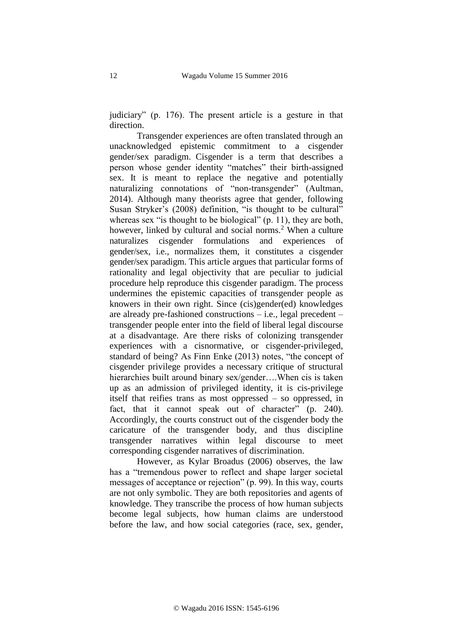judiciary" (p. 176). The present article is a gesture in that direction.

Transgender experiences are often translated through an unacknowledged epistemic commitment to a cisgender gender/sex paradigm. Cisgender is a term that describes a person whose gender identity "matches" their birth-assigned sex. It is meant to replace the negative and potentially naturalizing connotations of "non-transgender" (Aultman, 2014). Although many theorists agree that gender, following Susan Stryker's (2008) definition, "is thought to be cultural" whereas sex "is thought to be biological" (p. 11), they are both, however, linked by cultural and social norms.<sup>2</sup> When a culture naturalizes cisgender formulations and experiences of gender/sex, i.e., normalizes them, it constitutes a cisgender gender/sex paradigm. This article argues that particular forms of rationality and legal objectivity that are peculiar to judicial procedure help reproduce this cisgender paradigm. The process undermines the epistemic capacities of transgender people as knowers in their own right. Since (cis)gender(ed) knowledges are already pre-fashioned constructions – i.e., legal precedent – transgender people enter into the field of liberal legal discourse at a disadvantage. Are there risks of colonizing transgender experiences with a cisnormative, or cisgender-privileged, standard of being? As Finn Enke (2013) notes, "the concept of cisgender privilege provides a necessary critique of structural hierarchies built around binary sex/gender....When cis is taken up as an admission of privileged identity, it is cis-privilege itself that reifies trans as most oppressed – so oppressed, in fact, that it cannot speak out of character" (p. 240). Accordingly, the courts construct out of the cisgender body the caricature of the transgender body, and thus discipline transgender narratives within legal discourse to meet corresponding cisgender narratives of discrimination.

However, as Kylar Broadus (2006) observes, the law has a "tremendous power to reflect and shape larger societal messages of acceptance or rejection" (p. 99). In this way, courts are not only symbolic. They are both repositories and agents of knowledge. They transcribe the process of how human subjects become legal subjects, how human claims are understood before the law, and how social categories (race, sex, gender,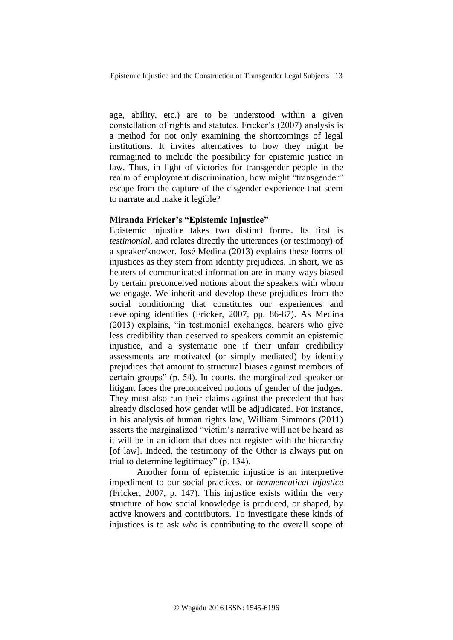age, ability, etc.) are to be understood within a given constellation of rights and statutes. Fricker's (2007) analysis is a method for not only examining the shortcomings of legal institutions. It invites alternatives to how they might be reimagined to include the possibility for epistemic justice in law. Thus, in light of victories for transgender people in the realm of employment discrimination, how might "transgender" escape from the capture of the cisgender experience that seem to narrate and make it legible?

### **Miranda Fricker's "Epistemic Injustice"**

Epistemic injustice takes two distinct forms. Its first is *testimonial,* and relates directly the utterances (or testimony) of a speaker/knower. José Medina (2013) explains these forms of injustices as they stem from identity prejudices. In short, we as hearers of communicated information are in many ways biased by certain preconceived notions about the speakers with whom we engage. We inherit and develop these prejudices from the social conditioning that constitutes our experiences and developing identities (Fricker, 2007, pp. 86-87). As Medina (2013) explains, "in testimonial exchanges, hearers who give less credibility than deserved to speakers commit an epistemic injustice, and a systematic one if their unfair credibility assessments are motivated (or simply mediated) by identity prejudices that amount to structural biases against members of certain groups" (p. 54). In courts, the marginalized speaker or litigant faces the preconceived notions of gender of the judges. They must also run their claims against the precedent that has already disclosed how gender will be adjudicated. For instance, in his analysis of human rights law, William Simmons (2011) asserts the marginalized "victim's narrative will not be heard as it will be in an idiom that does not register with the hierarchy [of law]. Indeed, the testimony of the Other is always put on trial to determine legitimacy" (p. 134).

Another form of epistemic injustice is an interpretive impediment to our social practices, or *hermeneutical injustice* (Fricker, 2007, p. 147). This injustice exists within the very structure of how social knowledge is produced, or shaped, by active knowers and contributors. To investigate these kinds of injustices is to ask *who* is contributing to the overall scope of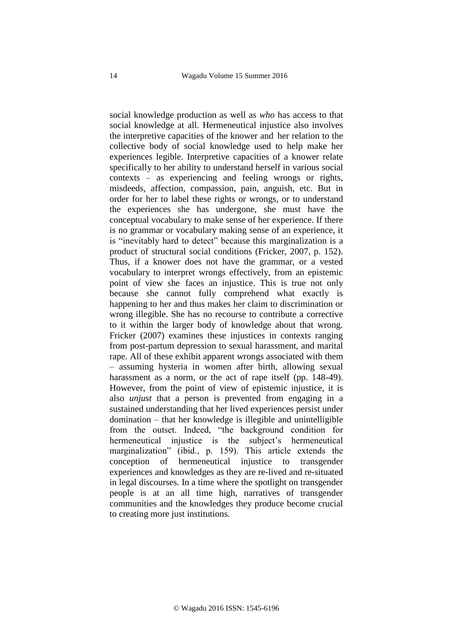social knowledge production as well as *who* has access to that social knowledge at all. Hermeneutical injustice also involves the interpretive capacities of the knower and her relation to the collective body of social knowledge used to help make her experiences legible. Interpretive capacities of a knower relate specifically to her ability to understand herself in various social contexts – as experiencing and feeling wrongs or rights, misdeeds, affection, compassion, pain, anguish, etc. But in order for her to label these rights or wrongs, or to understand the experiences she has undergone, she must have the conceptual vocabulary to make sense of her experience. If there is no grammar or vocabulary making sense of an experience, it is "inevitably hard to detect" because this marginalization is a product of structural social conditions (Fricker, 2007, p. 152). Thus, if a knower does not have the grammar, or a vested vocabulary to interpret wrongs effectively, from an epistemic point of view she faces an injustice. This is true not only because she cannot fully comprehend what exactly is happening to her and thus makes her claim to discrimination or wrong illegible. She has no recourse to contribute a corrective to it within the larger body of knowledge about that wrong. Fricker (2007) examines these injustices in contexts ranging from post-partum depression to sexual harassment, and marital rape. All of these exhibit apparent wrongs associated with them – assuming hysteria in women after birth, allowing sexual harassment as a norm, or the act of rape itself (pp. 148-49). However, from the point of view of epistemic injustice, it is also *unjust* that a person is prevented from engaging in a sustained understanding that her lived experiences persist under domination – that her knowledge is illegible and unintelligible from the outset. Indeed, "the background condition for hermeneutical injustice is the subject's hermeneutical marginalization" (ibid., p. 159). This article extends the conception of hermeneutical injustice to transgender experiences and knowledges as they are re-lived and re-situated in legal discourses. In a time where the spotlight on transgender people is at an all time high, narratives of transgender communities and the knowledges they produce become crucial to creating more just institutions.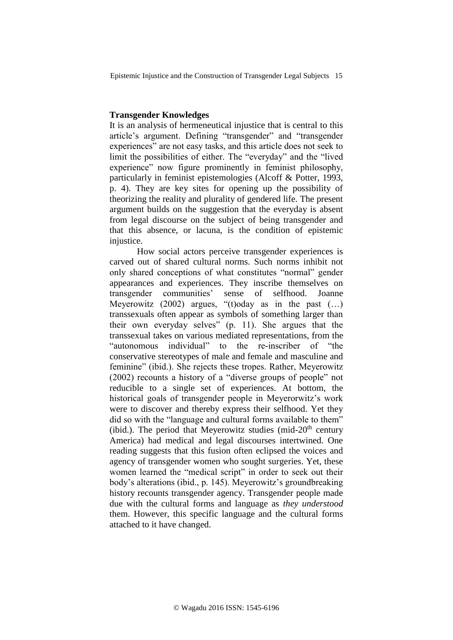## **Transgender Knowledges**

It is an analysis of hermeneutical injustice that is central to this article's argument. Defining "transgender" and "transgender experiences" are not easy tasks, and this article does not seek to limit the possibilities of either. The "everyday" and the "lived experience" now figure prominently in feminist philosophy, particularly in feminist epistemologies (Alcoff & Potter, 1993, p. 4). They are key sites for opening up the possibility of theorizing the reality and plurality of gendered life. The present argument builds on the suggestion that the everyday is absent from legal discourse on the subject of being transgender and that this absence, or lacuna, is the condition of epistemic injustice.

How social actors perceive transgender experiences is carved out of shared cultural norms. Such norms inhibit not only shared conceptions of what constitutes "normal" gender appearances and experiences. They inscribe themselves on transgender communities' sense of selfhood. Joanne Meyerowitz  $(2002)$  argues, "(t)oday as in the past  $(\ldots)$ transsexuals often appear as symbols of something larger than their own everyday selves" (p. 11). She argues that the transsexual takes on various mediated representations, from the "autonomous individual" to the re-inscriber of "the conservative stereotypes of male and female and masculine and feminine" (ibid.). She rejects these tropes. Rather, Meyerowitz (2002) recounts a history of a "diverse groups of people" not reducible to a single set of experiences. At bottom, the historical goals of transgender people in Meyerorwitz's work were to discover and thereby express their selfhood. Yet they did so with the "language and cultural forms available to them" (ibid.). The period that Meyerowitz studies (mid- $20<sup>th</sup>$  century America) had medical and legal discourses intertwined. One reading suggests that this fusion often eclipsed the voices and agency of transgender women who sought surgeries. Yet, these women learned the "medical script" in order to seek out their body's alterations (ibid., p. 145). Meyerowitz's groundbreaking history recounts transgender agency. Transgender people made due with the cultural forms and language as *they understood* them. However, this specific language and the cultural forms attached to it have changed.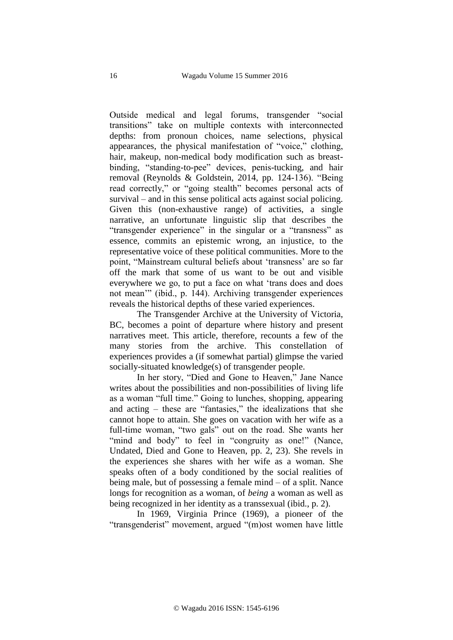Outside medical and legal forums, transgender "social transitions" take on multiple contexts with interconnected depths: from pronoun choices, name selections, physical appearances, the physical manifestation of "voice," clothing, hair, makeup, non-medical body modification such as breastbinding, "standing-to-pee" devices, penis-tucking, and hair removal (Reynolds & Goldstein, 2014, pp. 124-136). "Being read correctly," or "going stealth" becomes personal acts of survival – and in this sense political acts against social policing. Given this (non-exhaustive range) of activities, a single narrative, an unfortunate linguistic slip that describes the "transgender experience" in the singular or a "transness" as essence, commits an epistemic wrong, an injustice, to the representative voice of these political communities. More to the point, "Mainstream cultural beliefs about 'transness' are so far off the mark that some of us want to be out and visible everywhere we go, to put a face on what 'trans does and does not mean'" (ibid., p. 144). Archiving transgender experiences reveals the historical depths of these varied experiences.

The Transgender Archive at the University of Victoria, BC, becomes a point of departure where history and present narratives meet. This article, therefore, recounts a few of the many stories from the archive. This constellation of experiences provides a (if somewhat partial) glimpse the varied socially-situated knowledge(s) of transgender people.

In her story, "Died and Gone to Heaven," Jane Nance writes about the possibilities and non-possibilities of living life as a woman "full time." Going to lunches, shopping, appearing and acting – these are "fantasies," the idealizations that she cannot hope to attain. She goes on vacation with her wife as a full-time woman, "two gals" out on the road. She wants her "mind and body" to feel in "congruity as one!" (Nance, Undated, Died and Gone to Heaven, pp. 2, 23). She revels in the experiences she shares with her wife as a woman. She speaks often of a body conditioned by the social realities of being male, but of possessing a female mind – of a split. Nance longs for recognition as a woman, of *being* a woman as well as being recognized in her identity as a transsexual (ibid., p. 2).

In 1969, Virginia Prince (1969), a pioneer of the "transgenderist" movement, argued "(m)ost women have little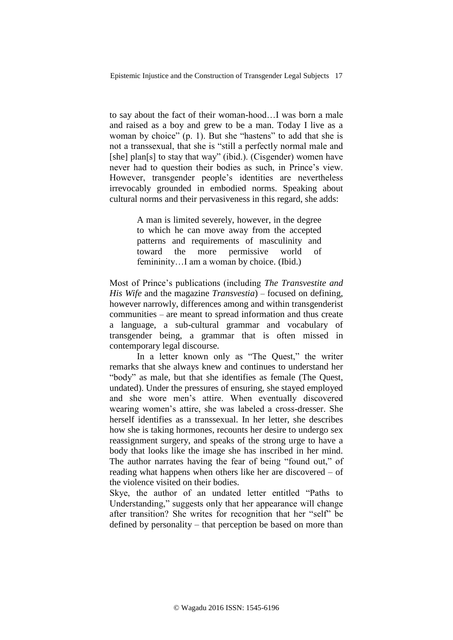to say about the fact of their woman-hood…I was born a male and raised as a boy and grew to be a man. Today I live as a woman by choice" (p. 1). But she "hastens" to add that she is not a transsexual, that she is "still a perfectly normal male and [she] plan[s] to stay that way" (ibid.). (Cisgender) women have never had to question their bodies as such, in Prince's view. However, transgender people's identities are nevertheless irrevocably grounded in embodied norms. Speaking about cultural norms and their pervasiveness in this regard, she adds:

> A man is limited severely, however, in the degree to which he can move away from the accepted patterns and requirements of masculinity and toward the more permissive world of femininity...I am a woman by choice. (Ibid.)

Most of Prince's publications (including *The Transvestite and His Wife* and the magazine *Transvestia*) – focused on defining, however narrowly, differences among and within transgenderist communities – are meant to spread information and thus create a language, a sub-cultural grammar and vocabulary of transgender being, a grammar that is often missed in contemporary legal discourse.

In a letter known only as "The Quest," the writer remarks that she always knew and continues to understand her "body" as male, but that she identifies as female (The Quest, undated). Under the pressures of ensuring, she stayed employed and she wore men's attire. When eventually discovered wearing women's attire, she was labeled a cross-dresser. She herself identifies as a transsexual. In her letter, she describes how she is taking hormones, recounts her desire to undergo sex reassignment surgery, and speaks of the strong urge to have a body that looks like the image she has inscribed in her mind. The author narrates having the fear of being "found out," of reading what happens when others like her are discovered – of the violence visited on their bodies.

Skye, the author of an undated letter entitled "Paths to Understanding," suggests only that her appearance will change after transition? She writes for recognition that her "self" be defined by personality – that perception be based on more than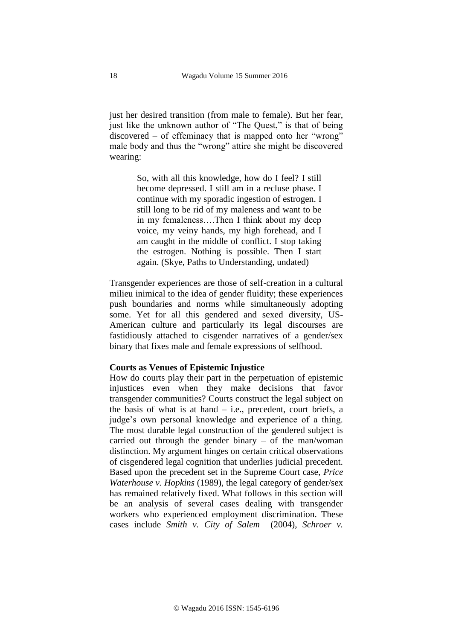just her desired transition (from male to female). But her fear, just like the unknown author of "The Quest," is that of being discovered – of effeminacy that is mapped onto her "wrong" male body and thus the "wrong" attire she might be discovered wearing:

> So, with all this knowledge, how do I feel? I still become depressed. I still am in a recluse phase. I continue with my sporadic ingestion of estrogen. I still long to be rid of my maleness and want to be in my femaleness….Then I think about my deep voice, my veiny hands, my high forehead, and I am caught in the middle of conflict. I stop taking the estrogen. Nothing is possible. Then I start again. (Skye, Paths to Understanding, undated)

Transgender experiences are those of self-creation in a cultural milieu inimical to the idea of gender fluidity; these experiences push boundaries and norms while simultaneously adopting some. Yet for all this gendered and sexed diversity, US-American culture and particularly its legal discourses are fastidiously attached to cisgender narratives of a gender/sex binary that fixes male and female expressions of selfhood.

#### **Courts as Venues of Epistemic Injustice**

How do courts play their part in the perpetuation of epistemic injustices even when they make decisions that favor transgender communities? Courts construct the legal subject on the basis of what is at hand  $-$  i.e., precedent, court briefs, a judge's own personal knowledge and experience of a thing. The most durable legal construction of the gendered subject is carried out through the gender binary – of the man/woman distinction. My argument hinges on certain critical observations of cisgendered legal cognition that underlies judicial precedent. Based upon the precedent set in the Supreme Court case, *Price Waterhouse v. Hopkins* (1989), the legal category of gender/sex has remained relatively fixed. What follows in this section will be an analysis of several cases dealing with transgender workers who experienced employment discrimination. These cases include *Smith v. City of Salem* (2004), *Schroer v.*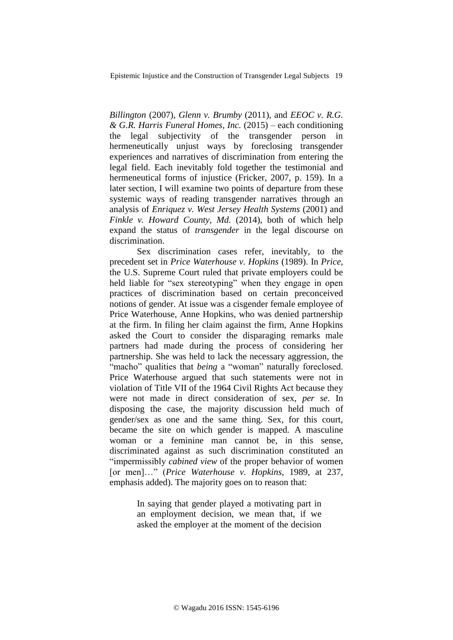*Billington* (2007), *Glenn v. Brumby* (2011), and *EEOC v. R.G. & G.R. Harris Funeral Homes, Inc.* (2015) – each conditioning the legal subjectivity of the transgender person in hermeneutically unjust ways by foreclosing transgender experiences and narratives of discrimination from entering the legal field. Each inevitably fold together the testimonial and hermeneutical forms of injustice (Fricker, 2007, p. 159). In a later section, I will examine two points of departure from these systemic ways of reading transgender narratives through an analysis of *Enriquez v. West Jersey Health Systems* (2001) and *Finkle v. Howard County, Md.* (2014), both of which help expand the status of *transgender* in the legal discourse on discrimination.

Sex discrimination cases refer, inevitably, to the precedent set in *Price Waterhouse v. Hopkins* (1989). In *Price*, the U.S. Supreme Court ruled that private employers could be held liable for "sex stereotyping" when they engage in open practices of discrimination based on certain preconceived notions of gender. At issue was a cisgender female employee of Price Waterhouse, Anne Hopkins, who was denied partnership at the firm. In filing her claim against the firm, Anne Hopkins asked the Court to consider the disparaging remarks male partners had made during the process of considering her partnership. She was held to lack the necessary aggression, the "macho" qualities that *being* a "woman" naturally foreclosed. Price Waterhouse argued that such statements were not in violation of Title VII of the 1964 Civil Rights Act because they were not made in direct consideration of sex, *per se*. In disposing the case, the majority discussion held much of gender/sex as one and the same thing. Sex, for this court, became the site on which gender is mapped. A masculine woman or a feminine man cannot be, in this sense, discriminated against as such discrimination constituted an "impermissibly *cabined view* of the proper behavior of women [or men]…" (*Price Waterhouse v. Hopkins,* 1989, at 237, emphasis added). The majority goes on to reason that:

> In saying that gender played a motivating part in an employment decision, we mean that, if we asked the employer at the moment of the decision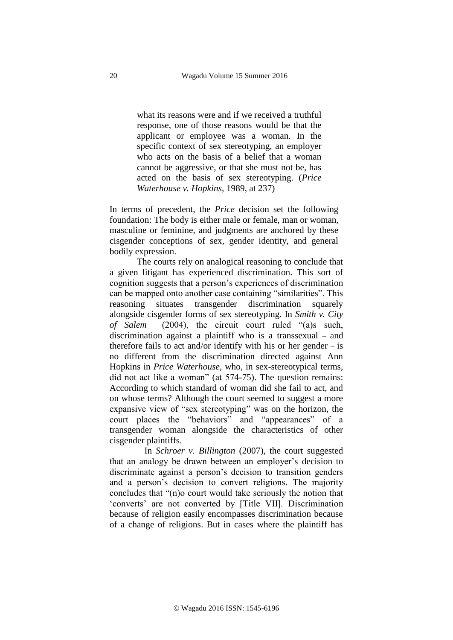what its reasons were and if we received a truthful response, one of those reasons would be that the applicant or employee was a woman. In the specific context of sex stereotyping, an employer who acts on the basis of a belief that a woman cannot be aggressive, or that she must not be, has acted on the basis of sex stereotyping. (*Price Waterhouse v. Hopkins,* 1989, at 237)

In terms of precedent, the *Price* decision set the following foundation: The body is either male or female, man or woman, masculine or feminine, and judgments are anchored by these cisgender conceptions of sex, gender identity, and general bodily expression.

The courts rely on analogical reasoning to conclude that a given litigant has experienced discrimination. This sort of cognition suggests that a person's experiences of discrimination can be mapped onto another case containing "similarities". This reasoning situates transgender discrimination squarely alongside cisgender forms of sex stereotyping. In *Smith v. City of Salem* (2004), the circuit court ruled "(a)s such, discrimination against a plaintiff who is a transsexual – and therefore fails to act and/or identify with his or her gender – is no different from the discrimination directed against Ann Hopkins in *Price Waterhouse*, who, in sex-stereotypical terms, did not act like a woman" (at 574-75). The question remains: According to which standard of woman did she fail to act, and on whose terms? Although the court seemed to suggest a more expansive view of "sex stereotyping" was on the horizon, the court places the "behaviors" and "appearances" of a transgender woman alongside the characteristics of other cisgender plaintiffs.

In *Schroer v. Billington* (2007), the court suggested that an analogy be drawn between an employer's decision to discriminate against a person's decision to transition genders and a person's decision to convert religions. The majority concludes that "(n)o court would take seriously the notion that 'converts' are not converted by [Title VII]. Discrimination because of religion easily encompasses discrimination because of a change of religions. But in cases where the plaintiff has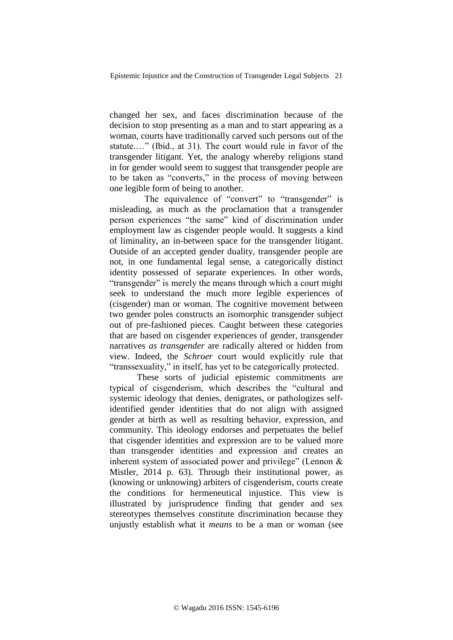changed her sex, and faces discrimination because of the decision to stop presenting as a man and to start appearing as a woman, courts have traditionally carved such persons out of the statute.…" (Ibid., at 31). The court would rule in favor of the transgender litigant. Yet, the analogy whereby religions stand in for gender would seem to suggest that transgender people are to be taken as "converts," in the process of moving between one legible form of being to another.

The equivalence of "convert" to "transgender" is misleading, as much as the proclamation that a transgender person experiences "the same" kind of discrimination under employment law as cisgender people would. It suggests a kind of liminality, an in-between space for the transgender litigant. Outside of an accepted gender duality, transgender people are not, in one fundamental legal sense, a categorically distinct identity possessed of separate experiences. In other words, "transgender" is merely the means through which a court might seek to understand the much more legible experiences of (cisgender) man or woman. The cognitive movement between two gender poles constructs an isomorphic transgender subject out of pre-fashioned pieces. Caught between these categories that are based on cisgender experiences of gender, transgender narratives *as transgender* are radically altered or hidden from view. Indeed, the *Schroer* court would explicitly rule that "transsexuality," in itself, has yet to be categorically protected.

These sorts of judicial epistemic commitments are typical of cisgenderism, which describes the "cultural and systemic ideology that denies, denigrates, or pathologizes selfidentified gender identities that do not align with assigned gender at birth as well as resulting behavior, expression, and community. This ideology endorses and perpetuates the belief that cisgender identities and expression are to be valued more than transgender identities and expression and creates an inherent system of associated power and privilege" (Lennon & Mistler, 2014 p. 63). Through their institutional power, as (knowing or unknowing) arbiters of cisgenderism, courts create the conditions for hermeneutical injustice. This view is illustrated by jurisprudence finding that gender and sex stereotypes themselves constitute discrimination because they unjustly establish what it *means* to be a man or woman (see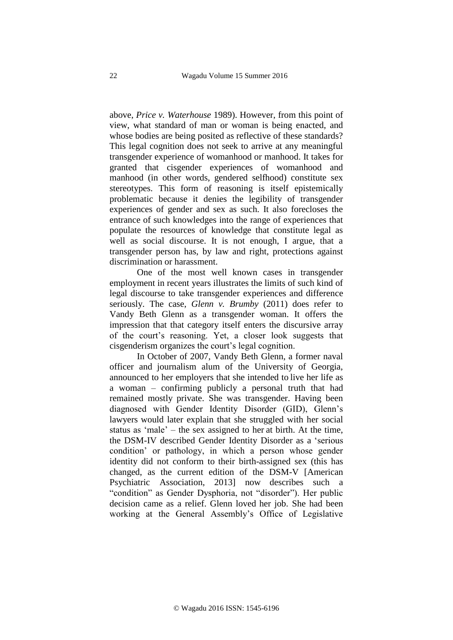above, *Price v. Waterhouse* 1989). However, from this point of view, what standard of man or woman is being enacted, and whose bodies are being posited as reflective of these standards? This legal cognition does not seek to arrive at any meaningful transgender experience of womanhood or manhood. It takes for granted that cisgender experiences of womanhood and manhood (in other words, gendered selfhood) constitute sex stereotypes. This form of reasoning is itself epistemically problematic because it denies the legibility of transgender experiences of gender and sex as such. It also forecloses the entrance of such knowledges into the range of experiences that populate the resources of knowledge that constitute legal as well as social discourse. It is not enough, I argue, that a transgender person has, by law and right, protections against discrimination or harassment.

One of the most well known cases in transgender employment in recent years illustrates the limits of such kind of legal discourse to take transgender experiences and difference seriously. The case, *Glenn v. Brumby* (2011) does refer to Vandy Beth Glenn as a transgender woman. It offers the impression that that category itself enters the discursive array of the court's reasoning. Yet, a closer look suggests that cisgenderism organizes the court's legal cognition.

In October of 2007, Vandy Beth Glenn, a former naval officer and journalism alum of the University of Georgia, announced to her employers that she intended to live her life as a woman – confirming publicly a personal truth that had remained mostly private. She was transgender. Having been diagnosed with Gender Identity Disorder (GID), Glenn's lawyers would later explain that she struggled with her social status as 'male' – the sex assigned to her at birth. At the time, the DSM-IV described Gender Identity Disorder as a 'serious condition' or pathology, in which a person whose gender identity did not conform to their birth-assigned sex (this has changed, as the current edition of the DSM-V [American Psychiatric Association, 2013] now describes such a "condition" as Gender Dysphoria, not "disorder"). Her public decision came as a relief. Glenn loved her job. She had been working at the General Assembly's Office of Legislative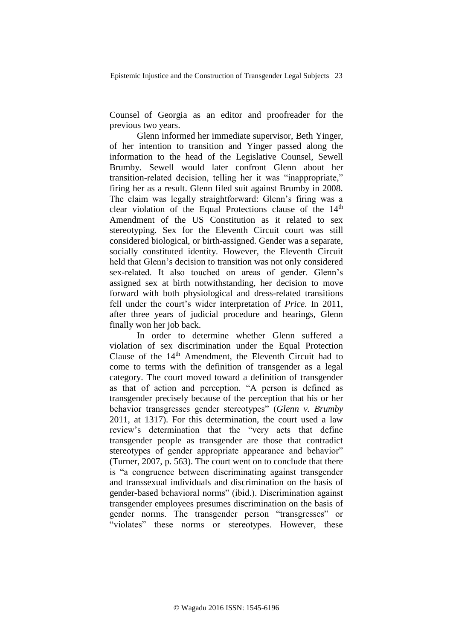Counsel of Georgia as an editor and proofreader for the previous two years.

Glenn informed her immediate supervisor, Beth Yinger, of her intention to transition and Yinger passed along the information to the head of the Legislative Counsel, Sewell Brumby. Sewell would later confront Glenn about her transition-related decision, telling her it was "inappropriate," firing her as a result. Glenn filed suit against Brumby in 2008. The claim was legally straightforward: Glenn's firing was a clear violation of the Equal Protections clause of the  $14<sup>th</sup>$ Amendment of the US Constitution as it related to sex stereotyping. Sex for the Eleventh Circuit court was still considered biological, or birth-assigned. Gender was a separate, socially constituted identity. However, the Eleventh Circuit held that Glenn's decision to transition was not only considered sex-related. It also touched on areas of gender. Glenn's assigned sex at birth notwithstanding, her decision to move forward with both physiological and dress-related transitions fell under the court's wider interpretation of *Price*. In 2011, after three years of judicial procedure and hearings, Glenn finally won her job back.

In order to determine whether Glenn suffered a violation of sex discrimination under the Equal Protection Clause of the  $14<sup>th</sup>$  Amendment, the Eleventh Circuit had to come to terms with the definition of transgender as a legal category. The court moved toward a definition of transgender as that of action and perception. "A person is defined as transgender precisely because of the perception that his or her behavior transgresses gender stereotypes" (*Glenn v. Brumby* 2011, at 1317). For this determination, the court used a law review's determination that the "very acts that define transgender people as transgender are those that contradict stereotypes of gender appropriate appearance and behavior" (Turner, 2007, p. 563). The court went on to conclude that there is "a congruence between discriminating against transgender and transsexual individuals and discrimination on the basis of gender-based behavioral norms" (ibid.). Discrimination against transgender employees presumes discrimination on the basis of gender norms. The transgender person "transgresses" or "violates" these norms or stereotypes. However, these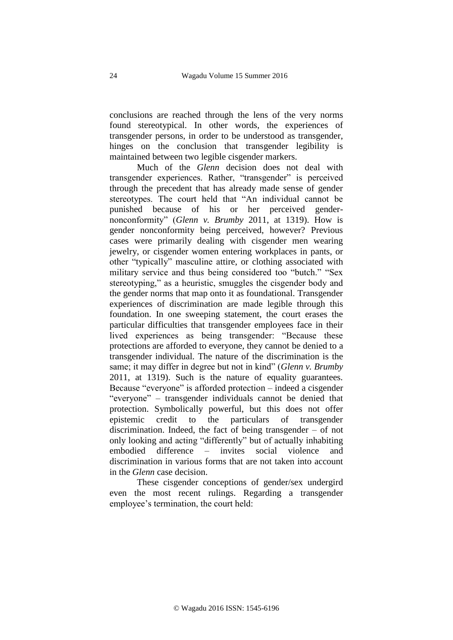conclusions are reached through the lens of the very norms found stereotypical. In other words, the experiences of transgender persons, in order to be understood as transgender, hinges on the conclusion that transgender legibility is maintained between two legible cisgender markers.

Much of the *Glenn* decision does not deal with transgender experiences. Rather, "transgender" is perceived through the precedent that has already made sense of gender stereotypes. The court held that "An individual cannot be punished because of his or her perceived gendernonconformity" (*Glenn v. Brumby* 2011, at 1319). How is gender nonconformity being perceived, however? Previous cases were primarily dealing with cisgender men wearing jewelry, or cisgender women entering workplaces in pants, or other "typically" masculine attire, or clothing associated with military service and thus being considered too "butch." "Sex stereotyping," as a heuristic, smuggles the cisgender body and the gender norms that map onto it as foundational. Transgender experiences of discrimination are made legible through this foundation. In one sweeping statement, the court erases the particular difficulties that transgender employees face in their lived experiences as being transgender: "Because these protections are afforded to everyone, they cannot be denied to a transgender individual. The nature of the discrimination is the same; it may differ in degree but not in kind" (*Glenn v. Brumby*  2011, at 1319). Such is the nature of equality guarantees. Because "everyone" is afforded protection – indeed a cisgender "everyone" – transgender individuals cannot be denied that protection. Symbolically powerful, but this does not offer epistemic credit to the particulars of transgender discrimination. Indeed, the fact of being transgender – of not only looking and acting "differently" but of actually inhabiting embodied difference – invites social violence and discrimination in various forms that are not taken into account in the *Glenn* case decision.

These cisgender conceptions of gender/sex undergird even the most recent rulings. Regarding a transgender employee's termination, the court held: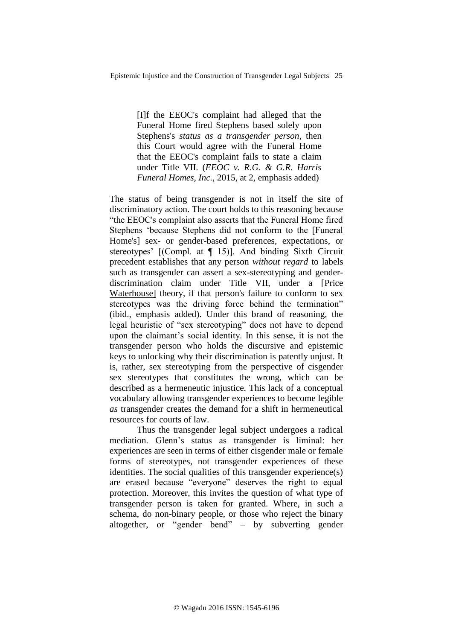[I]f the EEOC's complaint had alleged that the Funeral Home fired Stephens based solely upon Stephens's *status as a transgender person*, then this Court would agree with the Funeral Home that the EEOC's complaint fails to state a claim under Title VII. (*EEOC v. R.G. & G.R. Harris Funeral Homes, Inc.*, 2015, at 2, emphasis added)

The status of being transgender is not in itself the site of discriminatory action. The court holds to this reasoning because "the EEOC's complaint also asserts that the Funeral Home fired Stephens 'because Stephens did not conform to the [Funeral Home's] sex- or gender-based preferences, expectations, or stereotypes' [(Compl. at ¶ 15)]. And binding Sixth Circuit precedent establishes that any person *without regard* to labels such as transgender can assert a sex-stereotyping and genderdiscrimination claim under Title VII, under a [Price Waterhouse] theory, if that person's failure to conform to sex stereotypes was the driving force behind the termination" (ibid., emphasis added). Under this brand of reasoning, the legal heuristic of "sex stereotyping" does not have to depend upon the claimant's social identity. In this sense, it is not the transgender person who holds the discursive and epistemic keys to unlocking why their discrimination is patently unjust. It is, rather, sex stereotyping from the perspective of cisgender sex stereotypes that constitutes the wrong, which can be described as a hermeneutic injustice. This lack of a conceptual vocabulary allowing transgender experiences to become legible *as* transgender creates the demand for a shift in hermeneutical resources for courts of law.

Thus the transgender legal subject undergoes a radical mediation. Glenn's status as transgender is liminal: her experiences are seen in terms of either cisgender male or female forms of stereotypes, not transgender experiences of these identities. The social qualities of this transgender experience(s) are erased because "everyone" deserves the right to equal protection. Moreover, this invites the question of what type of transgender person is taken for granted. Where, in such a schema, do non-binary people, or those who reject the binary altogether, or "gender bend" – by subverting gender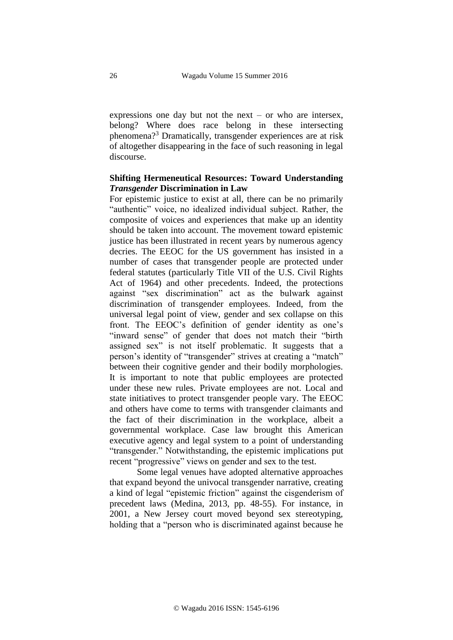expressions one day but not the next – or who are intersex, belong? Where does race belong in these intersecting phenomena?<sup>3</sup> Dramatically, transgender experiences are at risk of altogether disappearing in the face of such reasoning in legal discourse.

# **Shifting Hermeneutical Resources: Toward Understanding**  *Transgender* **Discrimination in Law**

For epistemic justice to exist at all, there can be no primarily "authentic" voice, no idealized individual subject. Rather, the composite of voices and experiences that make up an identity should be taken into account. The movement toward epistemic justice has been illustrated in recent years by numerous agency decries. The EEOC for the US government has insisted in a number of cases that transgender people are protected under federal statutes (particularly Title VII of the U.S. Civil Rights Act of 1964) and other precedents. Indeed, the protections against "sex discrimination" act as the bulwark against discrimination of transgender employees. Indeed, from the universal legal point of view, gender and sex collapse on this front. The EEOC's definition of gender identity as one's "inward sense" of gender that does not match their "birth assigned sex" is not itself problematic. It suggests that a person's identity of "transgender" strives at creating a "match" between their cognitive gender and their bodily morphologies. It is important to note that public employees are protected under these new rules. Private employees are not. Local and state initiatives to protect transgender people vary. The EEOC and others have come to terms with transgender claimants and the fact of their discrimination in the workplace, albeit a governmental workplace. Case law brought this American executive agency and legal system to a point of understanding "transgender." Notwithstanding, the epistemic implications put recent "progressive" views on gender and sex to the test.

Some legal venues have adopted alternative approaches that expand beyond the univocal transgender narrative, creating a kind of legal "epistemic friction" against the cisgenderism of precedent laws (Medina, 2013, pp. 48-55). For instance, in 2001, a New Jersey court moved beyond sex stereotyping, holding that a "person who is discriminated against because he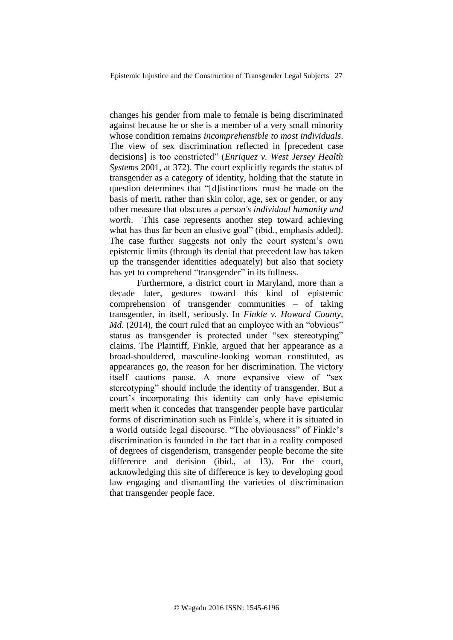changes his gender from male to female is being discriminated against because he or she is a member of a very small minority whose condition remains *incomprehensible to most individuals*. The view of sex discrimination reflected in [precedent case decisions] is too constricted" (*Enriquez v. West Jersey Health Systems* 2001, at 372). The court explicitly regards the status of transgender as a category of identity, holding that the statute in question determines that "[d]istinctions  must be made on the basis of merit, rather than skin color, age, sex or gender, or any other measure that obscures a *person's individual humanity and worth*. This case represents another step toward achieving what has thus far been an elusive goal" (ibid., emphasis added). The case further suggests not only the court system's own epistemic limits (through its denial that precedent law has taken up the transgender identities adequately) but also that society has yet to comprehend "transgender" in its fullness.

Furthermore, a district court in Maryland, more than a decade later, gestures toward this kind of epistemic comprehension of transgender communities – of taking transgender, in itself, seriously. In *Finkle v. Howard County, Md.* (2014), the court ruled that an employee with an "obvious" status as transgender is protected under "sex stereotyping" claims. The Plaintiff, Finkle, argued that her appearance as a broad-shouldered, masculine-looking woman constituted, as appearances go, the reason for her discrimination. The victory itself cautions pause. A more expansive view of "sex stereotyping" should include the identity of transgender. But a court's incorporating this identity can only have epistemic merit when it concedes that transgender people have particular forms of discrimination such as Finkle's, where it is situated in a world outside legal discourse. "The obviousness" of Finkle's discrimination is founded in the fact that in a reality composed of degrees of cisgenderism, transgender people become the site difference and derision (ibid., at 13). For the court, acknowledging this site of difference is key to developing good law engaging and dismantling the varieties of discrimination that transgender people face.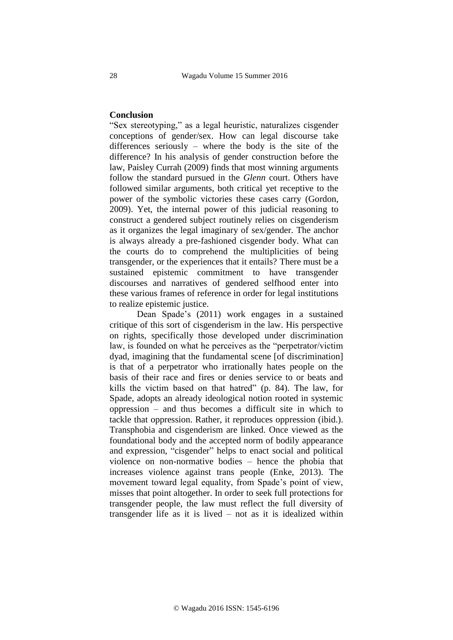#### **Conclusion**

"Sex stereotyping," as a legal heuristic, naturalizes cisgender conceptions of gender/sex. How can legal discourse take differences seriously – where the body is the site of the difference? In his analysis of gender construction before the law, Paisley Currah (2009) finds that most winning arguments follow the standard pursued in the *Glenn* court. Others have followed similar arguments, both critical yet receptive to the power of the symbolic victories these cases carry (Gordon, 2009). Yet, the internal power of this judicial reasoning to construct a gendered subject routinely relies on cisgenderism as it organizes the legal imaginary of sex/gender. The anchor is always already a pre-fashioned cisgender body. What can the courts do to comprehend the multiplicities of being transgender, or the experiences that it entails? There must be a sustained epistemic commitment to have transgender discourses and narratives of gendered selfhood enter into these various frames of reference in order for legal institutions to realize epistemic justice.

Dean Spade's (2011) work engages in a sustained critique of this sort of cisgenderism in the law. His perspective on rights, specifically those developed under discrimination law, is founded on what he perceives as the "perpetrator/victim dyad, imagining that the fundamental scene [of discrimination] is that of a perpetrator who irrationally hates people on the basis of their race and fires or denies service to or beats and kills the victim based on that hatred" (p. 84). The law, for Spade, adopts an already ideological notion rooted in systemic oppression – and thus becomes a difficult site in which to tackle that oppression. Rather, it reproduces oppression (ibid.). Transphobia and cisgenderism are linked. Once viewed as the foundational body and the accepted norm of bodily appearance and expression, "cisgender" helps to enact social and political violence on non-normative bodies – hence the phobia that increases violence against trans people (Enke, 2013). The movement toward legal equality, from Spade's point of view, misses that point altogether. In order to seek full protections for transgender people, the law must reflect the full diversity of transgender life as it is lived – not as it is idealized within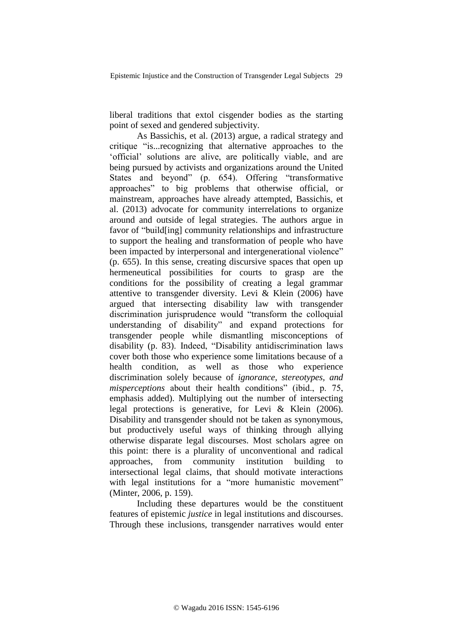liberal traditions that extol cisgender bodies as the starting point of sexed and gendered subjectivity.

As Bassichis, et al. (2013) argue, a radical strategy and critique "is...recognizing that alternative approaches to the 'official' solutions are alive, are politically viable, and are being pursued by activists and organizations around the United States and beyond" (p. 654). Offering "transformative approaches" to big problems that otherwise official, or mainstream, approaches have already attempted, Bassichis, et al. (2013) advocate for community interrelations to organize around and outside of legal strategies. The authors argue in favor of "build[ing] community relationships and infrastructure to support the healing and transformation of people who have been impacted by interpersonal and intergenerational violence" (p. 655). In this sense, creating discursive spaces that open up hermeneutical possibilities for courts to grasp are the conditions for the possibility of creating a legal grammar attentive to transgender diversity. Levi & Klein (2006) have argued that intersecting disability law with transgender discrimination jurisprudence would "transform the colloquial understanding of disability" and expand protections for transgender people while dismantling misconceptions of disability (p. 83). Indeed, "Disability antidiscrimination laws cover both those who experience some limitations because of a health condition, as well as those who experience discrimination solely because of *ignorance, stereotypes, and misperceptions* about their health conditions" (ibid., p. 75, emphasis added). Multiplying out the number of intersecting legal protections is generative, for Levi & Klein (2006). Disability and transgender should not be taken as synonymous, but productively useful ways of thinking through allying otherwise disparate legal discourses. Most scholars agree on this point: there is a plurality of unconventional and radical approaches, from community institution building to intersectional legal claims, that should motivate interactions with legal institutions for a "more humanistic movement" (Minter, 2006, p. 159).

Including these departures would be the constituent features of epistemic *justice* in legal institutions and discourses. Through these inclusions, transgender narratives would enter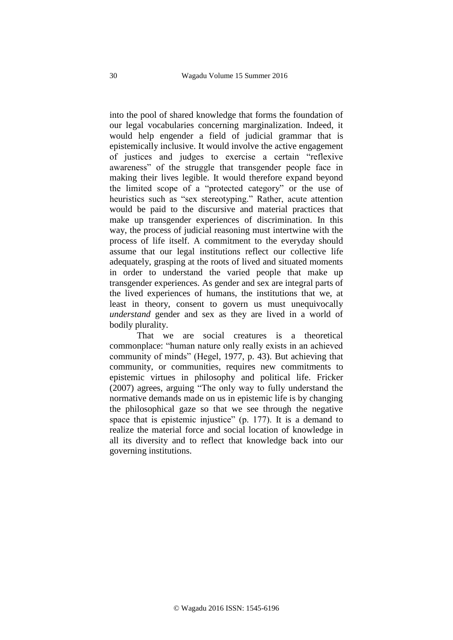into the pool of shared knowledge that forms the foundation of our legal vocabularies concerning marginalization. Indeed, it would help engender a field of judicial grammar that is epistemically inclusive. It would involve the active engagement of justices and judges to exercise a certain "reflexive awareness" of the struggle that transgender people face in making their lives legible. It would therefore expand beyond the limited scope of a "protected category" or the use of heuristics such as "sex stereotyping." Rather, acute attention would be paid to the discursive and material practices that make up transgender experiences of discrimination. In this way, the process of judicial reasoning must intertwine with the process of life itself. A commitment to the everyday should assume that our legal institutions reflect our collective life adequately, grasping at the roots of lived and situated moments in order to understand the varied people that make up transgender experiences. As gender and sex are integral parts of the lived experiences of humans, the institutions that we, at least in theory, consent to govern us must unequivocally *understand* gender and sex as they are lived in a world of bodily plurality.

That we are social creatures is a theoretical commonplace: "human nature only really exists in an achieved community of minds" (Hegel, 1977, p. 43). But achieving that community, or communities, requires new commitments to epistemic virtues in philosophy and political life. Fricker (2007) agrees, arguing "The only way to fully understand the normative demands made on us in epistemic life is by changing the philosophical gaze so that we see through the negative space that is epistemic injustice" (p. 177). It is a demand to realize the material force and social location of knowledge in all its diversity and to reflect that knowledge back into our governing institutions.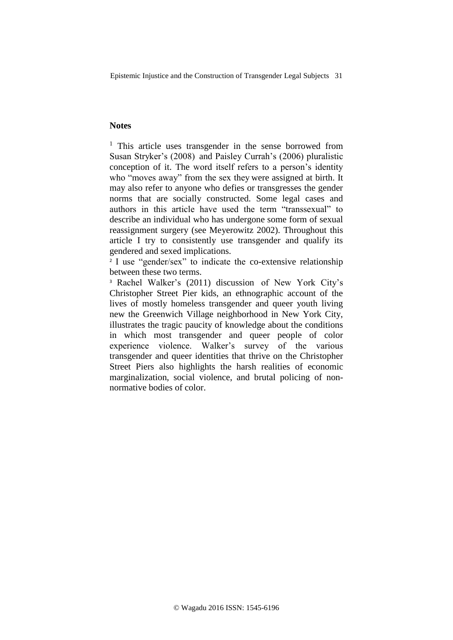# **Notes**

<sup>1</sup> This article uses transgender in the sense borrowed from Susan Stryker's (2008) and Paisley Currah's (2006) pluralistic conception of it. The word itself refers to a person's identity who "moves away" from the sex they were assigned at birth. It may also refer to anyone who defies or transgresses the gender norms that are socially constructed. Some legal cases and authors in this article have used the term "transsexual" to describe an individual who has undergone some form of sexual reassignment surgery (see Meyerowitz 2002). Throughout this article I try to consistently use transgender and qualify its gendered and sexed implications.

<sup>2</sup> I use "gender/sex" to indicate the co-extensive relationship between these two terms.

<sup>3</sup> Rachel Walker's (2011) discussion of New York City's Christopher Street Pier kids, an ethnographic account of the lives of mostly homeless transgender and queer youth living new the Greenwich Village neighborhood in New York City, illustrates the tragic paucity of knowledge about the conditions in which most transgender and queer people of color experience violence. Walker's survey of the various transgender and queer identities that thrive on the Christopher Street Piers also highlights the harsh realities of economic marginalization, social violence, and brutal policing of nonnormative bodies of color.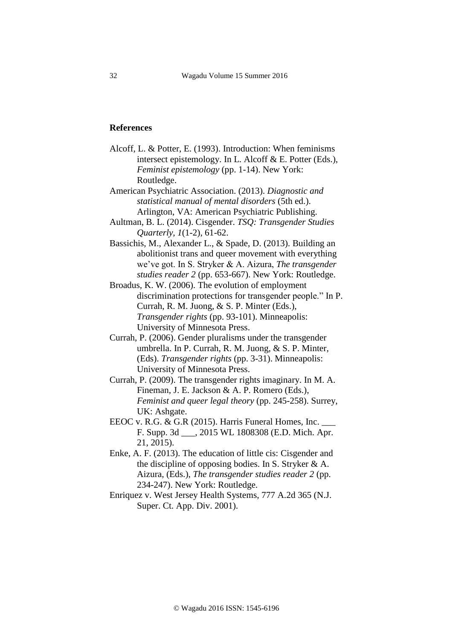### **References**

- Alcoff, L. & Potter, E. (1993). Introduction: When feminisms intersect epistemology. In L. Alcoff & E. Potter (Eds.), *Feminist epistemology* (pp. 1-14). New York: Routledge.
- American Psychiatric Association. (2013). *Diagnostic and statistical manual of mental disorders* (5th ed.). Arlington, VA: American Psychiatric Publishing.
- Aultman, B. L. (2014). Cisgender. *TSQ: Transgender Studies Quarterly*, *1*(1-2), 61-62.
- Bassichis, M., Alexander L., & Spade, D. (2013). Building an abolitionist trans and queer movement with everything we've got. In S. Stryker & A. Aizura, *The transgender studies reader 2* (pp. 653-667). New York: Routledge.
- Broadus, K. W. (2006). The evolution of employment discrimination protections for transgender people." In P. Currah, R. M. Juong, & S. P. Minter (Eds.), *Transgender rights* (pp. 93-101). Minneapolis: University of Minnesota Press.
- Currah, P. (2006). Gender pluralisms under the transgender umbrella. In P. Currah, R. M. Juong, & S. P. Minter, (Eds). *Transgender rights* (pp. 3-31). Minneapolis: University of Minnesota Press.
- Currah, P. (2009). The transgender rights imaginary. In M. A. Fineman, J. E. Jackson & A. P. Romero (Eds.), *Feminist and queer legal theory* (pp. 245-258). Surrey, UK: Ashgate.
- EEOC v. R.G. & G.R (2015). Harris Funeral Homes, Inc. F. Supp. 3d \_\_\_, 2015 WL 1808308 (E.D. Mich. Apr. 21, 2015).
- Enke, A. F. (2013). The education of little cis: Cisgender and the discipline of opposing bodies. In S. Stryker & A. Aizura, (Eds.), *The transgender studies reader 2* (pp. 234-247). New York: Routledge.
- Enriquez v. West Jersey Health Systems, 777 A.2d 365 (N.J. Super. Ct. App. Div. 2001).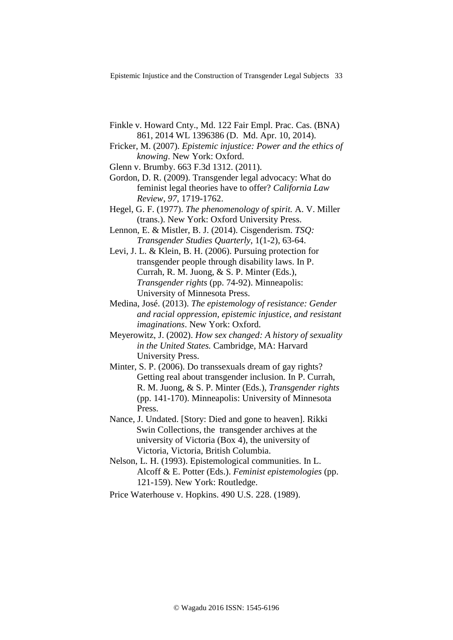- Finkle v. Howard Cnty., Md. 122 Fair Empl. Prac. Cas. (BNA) 861, 2014 WL 1396386 (D. Md. Apr. 10, 2014).
- Fricker, M. (2007). *Epistemic injustice: Power and the ethics of knowing*. New York: Oxford.
- Glenn v. Brumby. 663 F.3d 1312. (2011).
- Gordon, D. R. (2009). Transgender legal advocacy: What do feminist legal theories have to offer? *California Law Review*, *97*, 1719-1762.
- Hegel, G. F. (1977). *The phenomenology of spirit.* A. V. Miller (trans.). New York: Oxford University Press.
- Lennon, E. & Mistler, B. J. (2014). Cisgenderism. *TSQ: Transgender Studies Quarterly*, 1(1-2), 63-64.
- Levi, J. L. & Klein, B. H. (2006). Pursuing protection for transgender people through disability laws. In P. Currah, R. M. Juong, & S. P. Minter (Eds.), *Transgender rights* (pp. 74-92). Minneapolis: University of Minnesota Press.
- Medina, José. (2013). *The epistemology of resistance: Gender and racial oppression, epistemic injustice, and resistant imaginations*. New York: Oxford.
- Meyerowitz, J. (2002). *How sex changed: A history of sexuality in the United States.* Cambridge, MA: Harvard University Press.
- Minter, S. P. (2006). Do transsexuals dream of gay rights? Getting real about transgender inclusion. In P. Currah, R. M. Juong, & S. P. Minter (Eds.), *Transgender rights* (pp. 141-170). Minneapolis: University of Minnesota Press.
- Nance, J. Undated. [Story: Died and gone to heaven]. Rikki Swin Collections, the transgender archives at the university of Victoria (Box 4), the university of Victoria, Victoria, British Columbia.
- Nelson, L. H. (1993). Epistemological communities. In L. Alcoff & E. Potter (Eds.). *Feminist epistemologies* (pp. 121-159). New York: Routledge.
- Price Waterhouse v. Hopkins. 490 U.S. 228. (1989).